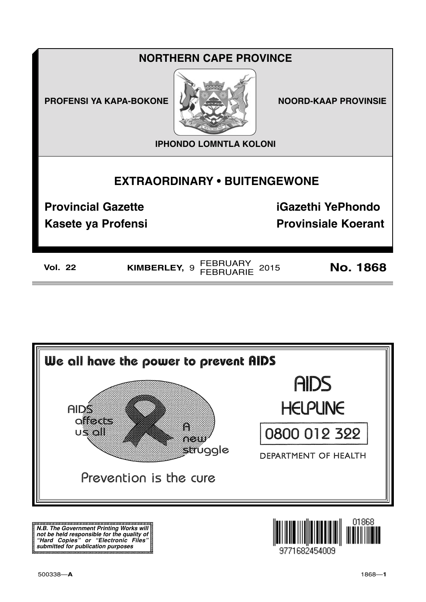## **NORTHERN CAPE PROVINCE**

**PROFENSI YA KAPA-BOKONE NOORD-KAAP PROVINSIE** 



**IPHONDO LOMNTLA KOLONI**

## **EXTRAORDINARY • BUITENGEWONE**

**Kasete ya Profensi Provinsiale Koerant** 

**Provincial Gazette iGazethi YePhondo**

**Vol. 22 KIMBERLEY,** <sup>9</sup>FEBRUARY FEBRUARIE <sup>2015</sup> **No. 1868**



**N.B. The Government Printing Works will not be held responsible for the quality of "Hard Copies" or "Electronic Files" submitted for publication purposes**

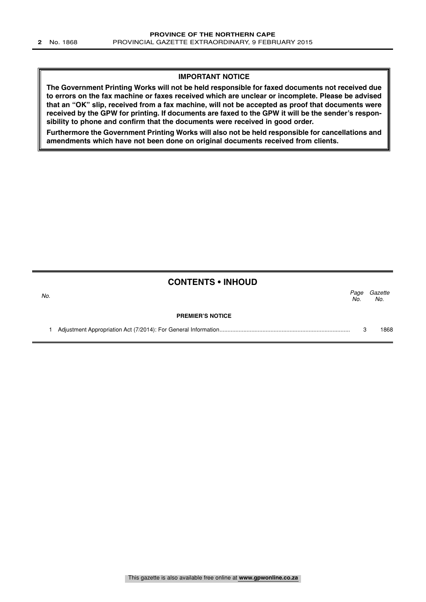### **IMPORTANT NOTICE**

**The Government Printing Works will not be held responsible for faxed documents not received due to errors on the fax machine or faxes received which are unclear or incomplete. Please be advised that an "OK" slip, received from a fax machine, will not be accepted as proof that documents were received by the GPW for printing. If documents are faxed to the GPW it will be the sender's responsibility to phone and confirm that the documents were received in good order.**

**Furthermore the Government Printing Works will also not be held responsible for cancellations and amendments which have not been done on original documents received from clients.**

## **CONTENTS • INHOUD**

| No. |                         | Page<br>No. | Gazette<br>No. |
|-----|-------------------------|-------------|----------------|
|     | <b>PREMIER'S NOTICE</b> |             |                |
|     |                         |             | 868            |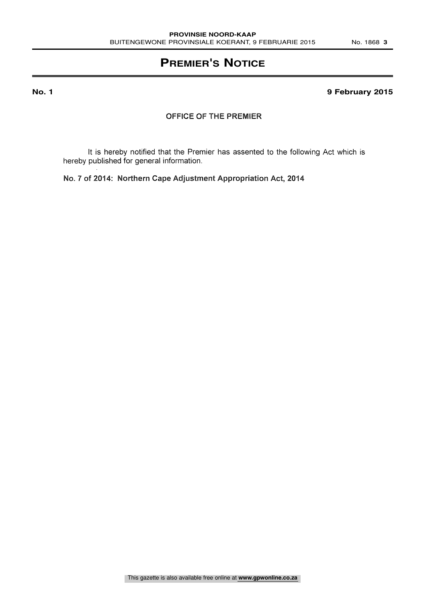## **PREMIER'S NOTICE**

## **No. 1 9 February 2015**

## OFFICE OF THE PREMIER

It is hereby notified that the Premier has assented to the following Act which is hereby published for general information.

No. 7 of 2014: Northern Cape Adjustment Appropriation Act, 2014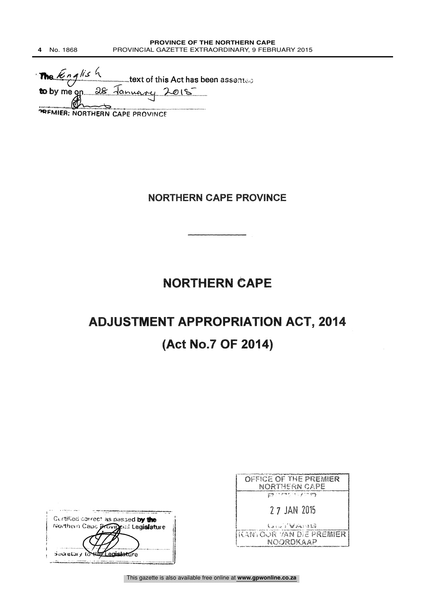me English  $\mathbf{m}$ text of this Act has been assented **to** by me on 28 <u>January</u> 2015 -1PFIVILLE -1PFIVILLE -1PFIVILLE -1PFIVILLE 

## **NORTHERN CAPE PROVINCE**

## **NORTHERN CAPE**

# ADJUSTMENT APPROPRIATION ACT, 2014 (Act No.7 OF 2014)

| Curtified correct as passed by the   |  |
|--------------------------------------|--|
| Northern Cape Provincial Legislature |  |
|                                      |  |
|                                      |  |
| Societary to HID Legislature         |  |
|                                      |  |

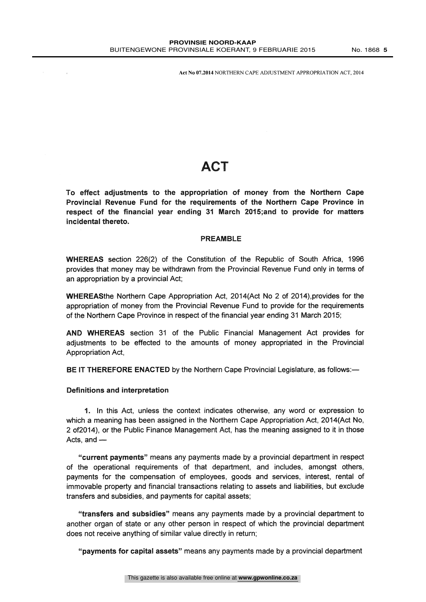Act No 07.2014 NORTHERN CAPE ADJUSTMENT APPROPRIATION ACT, 2014

## ACT

To effect adjustments to the appropriation of money from the Northern Cape Provincial Revenue Fund for the requirements of the Northern Cape Province in respect of the financial year ending 31 March 2015;and to provide for matters incidental thereto.

### PREAMBLE

WHEREAS section 226(2) of the Constitution of the Republic of South Africa, 1996 provides that money may be withdrawn from the Provincial Revenue Fund only in terms of an appropriation by a provincial Act;

WHEREASthe Northern Cape Appropriation Act, 2014(Act No 2 of 2014),provides for the appropriation of money from the Provincial Revenue Fund to provide for the requirements of the Northern Cape Province in respect of the financial year ending 31 March 2015;

AND WHEREAS section 31 of the Public Financial Management Act provides for adjustments to be effected to the amounts of money appropriated in the Provincial Appropriation Act,

BE IT THEREFORE ENACTED by the Northern Cape Provincial Legislature, as follows:-

### Definitions and interpretation

 $\sim$  10  $\mu$ 

1. In this Act, unless the context indicates otherwise, any word or expression to which a meaning has been assigned in the Northern Cape Appropriation Act, 2014(Act No, 2 of2014), or the Public Finance Management Act, has the meaning assigned to it in those Acts, and  $-$ 

"current payments" means any payments made by a provincial department in respect of the operational requirements of that department, and includes, amongst others, payments for the compensation of employees, goods and services, interest, rental of immovable property and financial transactions relating to assets and liabilities, but exclude transfers and subsidies, and payments for capital assets;

"transfers and subsidies" means any payments made by a provincial department to another organ of state or any other person in respect of which the provincial department does not receive anything of similar value directly in return;

"payments for capital assets" means any payments made by a provincial department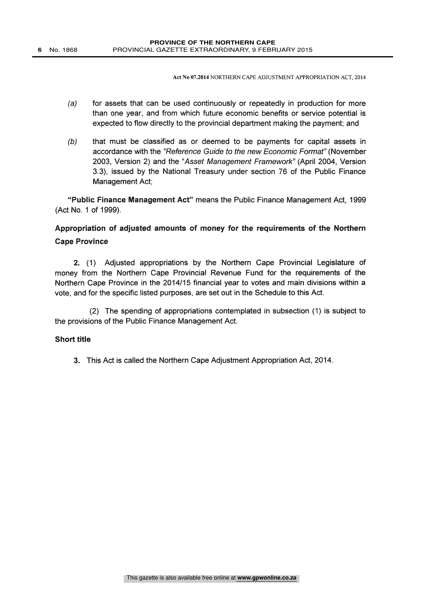Act No 07.2014 NORTHERN CAPE ADJUSTMENT APPROPRIATION ACT, 2014

- (a) for assets that can be used continuously or repeatedly in production for more than one year, and from which future economic benefits or service potential is expected to flow directly to the provincial department making the payment; and
- (b) that must be classified as or deemed to be payments for capital assets in accordance with the "Reference Guide to the new Economic Format" (November 2003, Version 2) and the "Asset Management Framework" (April 2004, Version 3.3), issued by the National Treasury under section 76 of the Public Finance Management Act;

"Public Finance Management Act" means the Public Finance Management Act, 1999 (Act No. 1 of 1999).

## Appropriation of adjusted amounts of money for the requirements of the Northern Cape Province

2. (1) Adjusted appropriations by the Northern Cape Provincial Legislature of money from the Northern Cape Provincial Revenue Fund for the requirements of the Northern Cape Province in the 2014/15 financial year to votes and main divisions within a vote, and for the specific listed purposes, are set out in the Schedule to this Act.

(2) The spending of appropriations contemplated in subsection (1) is subject to the provisions of the Public Finance Management Act.

## Short title

3. This Act is called the Northern Cape Adjustment Appropriation Act, 2014.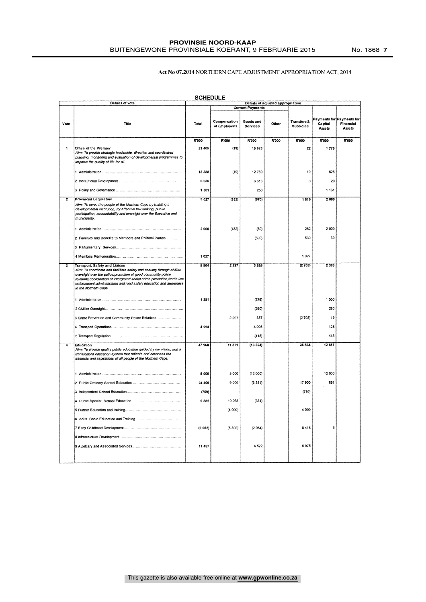#### **PROVINSIE NOORD-KAAP** BUITENGEWONE PROVINSIALE KOERANT, 9 FEBRUARIE 2015 No. 1868 **7**

#### Act No 07.2014 NORTHERN CAPE ADJUSTMENT APPROPRIATION ACT, 2014

|                         | Details of vote                                                                                                                                                                                                                                                                                                                                                |         |                              |                         | Details of adjusted appropriation |                                            |                                   |                                     |
|-------------------------|----------------------------------------------------------------------------------------------------------------------------------------------------------------------------------------------------------------------------------------------------------------------------------------------------------------------------------------------------------------|---------|------------------------------|-------------------------|-----------------------------------|--------------------------------------------|-----------------------------------|-------------------------------------|
|                         |                                                                                                                                                                                                                                                                                                                                                                |         |                              |                         |                                   |                                            |                                   |                                     |
|                         |                                                                                                                                                                                                                                                                                                                                                                |         |                              | <b>Current Payments</b> |                                   |                                            |                                   |                                     |
| Vote                    | Title                                                                                                                                                                                                                                                                                                                                                          | Total   | Compensation<br>of Employees | Goods and<br>Services   | Other                             | <b>Transfers &amp;</b><br><b>Subsidies</b> | Payments for<br>Capital<br>Assets | Payments for<br>Financial<br>Assets |
|                         |                                                                                                                                                                                                                                                                                                                                                                | R'000   | R'000                        | R'000                   | R'000                             | R'000                                      | R'000                             | R'000                               |
| $\ddot{\mathbf{1}}$     | Office of the Premier<br>Aim: To provide strategic leadership, direction and coordinated<br>planning, monitoring and evaluation of developmental programmes to<br>improve the quality of life for all.                                                                                                                                                         | 21 405  | (19)                         | 19623                   |                                   | 22                                         | 1779                              |                                     |
|                         |                                                                                                                                                                                                                                                                                                                                                                | 13 388  | (19)                         | 12760                   |                                   | 19                                         | 628                               |                                     |
|                         |                                                                                                                                                                                                                                                                                                                                                                | 6 636   |                              | 6613                    |                                   | 3                                          | 20                                |                                     |
|                         |                                                                                                                                                                                                                                                                                                                                                                | 1 3 8 1 |                              | 250                     |                                   |                                            | 1 131                             |                                     |
| $\overline{2}$          | <b>Provincial Legislature</b><br>Aim: To serve the people of the Northern Cape by building a<br>developmental institution, for effective law making, public<br>participation, accountability and oversight over the Executive and<br>municipality.                                                                                                             | 3 027   | (182)                        | (670)                   |                                   | 1819                                       | 2 0 6 0                           |                                     |
|                         |                                                                                                                                                                                                                                                                                                                                                                | 2000    | (182)                        | (80)                    |                                   | 262                                        | 2 000                             |                                     |
|                         | 2 Facilities and Benefits to Members and Political Parties                                                                                                                                                                                                                                                                                                     |         |                              | (590)                   |                                   | 530                                        | 60                                |                                     |
|                         |                                                                                                                                                                                                                                                                                                                                                                | 1 0 2 7 |                              |                         |                                   | 1027                                       |                                   |                                     |
| $\overline{\mathbf{3}}$ | <b>Transport, Safety and Liaison</b><br>Aim: To coordinate and facilitate safety and security through civilian<br>oversight over the police, promotion of good community police<br>relations, coordination of intergrated social crime prevention, traffic law<br>enforcement, administration and road safety education and awareness<br>in the Northern Cape. | 5 5 0 4 | 2 2 9 7                      | 3525                    |                                   | (2703)                                     | 2 3 8 5                           |                                     |
|                         |                                                                                                                                                                                                                                                                                                                                                                | 1 2 8 1 |                              | (279)                   |                                   |                                            | 1560                              |                                     |
|                         |                                                                                                                                                                                                                                                                                                                                                                |         |                              | (260)                   |                                   |                                            | 260                               |                                     |
|                         | 3 Crime Prevention and Community Police Relations                                                                                                                                                                                                                                                                                                              |         | 2 2 9 7                      | 387<br>4 0 9 5          |                                   | (2703)                                     | 19<br>128                         |                                     |
|                         |                                                                                                                                                                                                                                                                                                                                                                | 4 2 2 3 |                              | (418)                   |                                   |                                            | 418                               |                                     |
|                         |                                                                                                                                                                                                                                                                                                                                                                |         |                              |                         |                                   |                                            |                                   |                                     |
| 4                       | Education<br>Aim: To provide quality public education guided by our vision, and a<br>transformed education system that reflects and advances the<br>interests and aspirations of all people of the Northern Cape.                                                                                                                                              | 47 968  | 11 871                       | (13324)                 |                                   | 36 534                                     | 12 887                            |                                     |
|                         |                                                                                                                                                                                                                                                                                                                                                                | 5 000   | 5 0 0 0                      | (12000)                 |                                   |                                            | 12 000                            |                                     |
|                         |                                                                                                                                                                                                                                                                                                                                                                | 24 400  | 9000                         | (3381)                  |                                   | 17 900                                     | 881                               |                                     |
|                         |                                                                                                                                                                                                                                                                                                                                                                | (759)   |                              |                         |                                   | (759)                                      |                                   |                                     |
|                         |                                                                                                                                                                                                                                                                                                                                                                | 9882    | 10 263<br>(4000)             | (381)                   |                                   | 4 0 0 0                                    |                                   |                                     |
|                         |                                                                                                                                                                                                                                                                                                                                                                |         |                              |                         |                                   |                                            |                                   |                                     |
|                         |                                                                                                                                                                                                                                                                                                                                                                | (2052)  | (8 392)                      | (2084)                  |                                   | 8418                                       | 6                                 |                                     |
|                         |                                                                                                                                                                                                                                                                                                                                                                |         |                              |                         |                                   |                                            |                                   |                                     |
|                         |                                                                                                                                                                                                                                                                                                                                                                | 11 497  |                              | 4 5 22                  |                                   | 6975                                       |                                   |                                     |
|                         |                                                                                                                                                                                                                                                                                                                                                                |         |                              |                         |                                   |                                            |                                   |                                     |

## $C$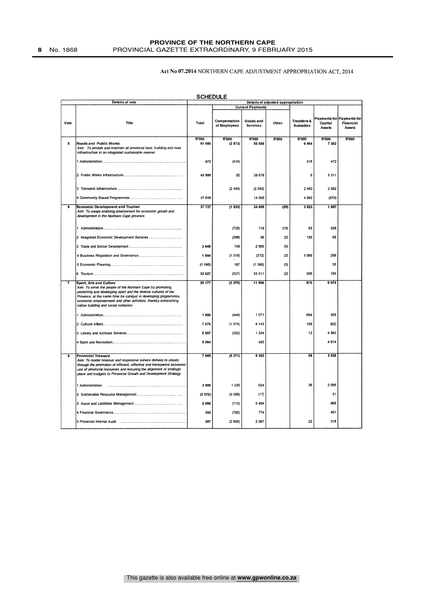#### **PROVINCE OF THE NORTHERN CAPE 8** No. 1868 PROVINCIAL GAZETTE EXTRAORDINARY, 9 FEBRUARY 2015

### Act No 07.2014 NORTHERN CAPE ADJUSTMENT APPROPRIATION ACT, 2014

|                          | Details of vote                                                                                                                                                                                                                                                                                                                         | Details of adjusted appropriation |                              |                              |       |                                 |                          |                                                  |  |
|--------------------------|-----------------------------------------------------------------------------------------------------------------------------------------------------------------------------------------------------------------------------------------------------------------------------------------------------------------------------------------|-----------------------------------|------------------------------|------------------------------|-------|---------------------------------|--------------------------|--------------------------------------------------|--|
|                          |                                                                                                                                                                                                                                                                                                                                         |                                   | <b>Current Payments</b>      |                              |       |                                 |                          |                                                  |  |
| Vote                     | Title                                                                                                                                                                                                                                                                                                                                   | Total                             | Compensation<br>of Employees | Goods and<br><b>Services</b> | Other | Transfers &<br><b>Subsidies</b> | Capital<br><b>Assets</b> | Payments for Payments for<br>Financial<br>Assets |  |
| 5                        | Roads and Public Works<br>Aim: To provide and maintain all provincial land, building and road<br>infrastructure in an integrated sustainable manner.                                                                                                                                                                                    | R'000<br>61 980                   | R'000<br>(2872)              | R'000<br>50 586              | R'000 | R'000<br>6 9 6 4                | R'000<br>7 3 0 2         | R'000                                            |  |
|                          |                                                                                                                                                                                                                                                                                                                                         | 472                               | (416)                        |                              |       | 416                             | 472                      |                                                  |  |
|                          |                                                                                                                                                                                                                                                                                                                                         | 43 989                            | (6)                          | 38 678                       |       | 6                               | 5311                     |                                                  |  |
|                          |                                                                                                                                                                                                                                                                                                                                         |                                   | (2450)                       | (2092)                       |       | 2450                            | 2092                     |                                                  |  |
|                          |                                                                                                                                                                                                                                                                                                                                         | 17519                             |                              | 14 000                       |       | 4 0 9 2                         | (573)                    |                                                  |  |
| $\overline{\phantom{a}}$ | <b>Economic Development and Tourism</b><br>Aim: To create enabling environment for economic growth and<br>development in the Northern Cape province.                                                                                                                                                                                    | 37 7 27                           | (1933)                       | 34 809                       | (29)  | 3823                            | 1 057                    |                                                  |  |
|                          |                                                                                                                                                                                                                                                                                                                                         |                                   | (725)                        | 119                          | (15)  | 93                              | 528                      |                                                  |  |
|                          |                                                                                                                                                                                                                                                                                                                                         |                                   | (269)                        | 36                           | (2)   | 150                             | 85                       |                                                  |  |
|                          |                                                                                                                                                                                                                                                                                                                                         | 3 649                             | 749                          | 2905                         | (5)   |                                 |                          |                                                  |  |
|                          |                                                                                                                                                                                                                                                                                                                                         | 1 644                             | (1318)                       | (372)                        | (2)   | 3 0 8 0                         | 256                      |                                                  |  |
|                          |                                                                                                                                                                                                                                                                                                                                         | (1193)                            | 167                          | (1390)                       | (3)   |                                 | 33                       |                                                  |  |
|                          |                                                                                                                                                                                                                                                                                                                                         | 33 627                            | (537)                        | 33 511                       | (2)   | 500                             | 155                      |                                                  |  |
| 7                        | Sport, Arts and Culture<br>Aim: To serve the people of the Northern Cape by promoting,<br>protecting and developing sport and the diverse cultures of the<br>Province, at the same time be catalyst in developing programmes,<br>economic empowerment and other activities, thereby entrenching<br>nation building and social cohesion. | 20 177                            | (2370)                       | 11 998                       |       | 875                             | 9 674                    |                                                  |  |
|                          |                                                                                                                                                                                                                                                                                                                                         | 1880                              | (444)                        | 1071                         |       | 694                             | 559                      |                                                  |  |
|                          |                                                                                                                                                                                                                                                                                                                                         | 7676                              | (1574)                       | 9 1 4 3                      |       | 169                             | (62)                     |                                                  |  |
|                          |                                                                                                                                                                                                                                                                                                                                         | 5 5 5 7                           | (352)                        | 1334                         |       | 12                              | 4 5 6 3                  |                                                  |  |
|                          |                                                                                                                                                                                                                                                                                                                                         | 5 0 64                            |                              | 450                          |       |                                 | 4614                     |                                                  |  |
| s.                       | <b>Provincial Treasury</b><br>Aim: To render timeous and responsive service delivery to clients<br>through the promotion of efficient, effective and transparent economic<br>use of provincial resources and ensuring the alignment of strategic<br>plans and budgets to Provincial Growth and Development Strategy                     | 7 6 6 9                           | (5271)                       | 9 3 5 2                      |       | 58                              | 3 5 3 0                  |                                                  |  |
|                          |                                                                                                                                                                                                                                                                                                                                         | 3985                              | 1 2 3 0                      | 624                          |       | 36                              | 2095                     |                                                  |  |
|                          |                                                                                                                                                                                                                                                                                                                                         | (2972)                            | (3006)                       | (17)                         |       |                                 | 51                       |                                                  |  |
|                          |                                                                                                                                                                                                                                                                                                                                         | 5956                              | (113)                        | 5 4 0 4                      |       |                                 | 665                      |                                                  |  |
|                          |                                                                                                                                                                                                                                                                                                                                         | 393                               | (782)                        | 774                          |       |                                 | 401                      |                                                  |  |
|                          |                                                                                                                                                                                                                                                                                                                                         | 307                               | (2600)                       | 2567                         |       | 22                              | 318                      |                                                  |  |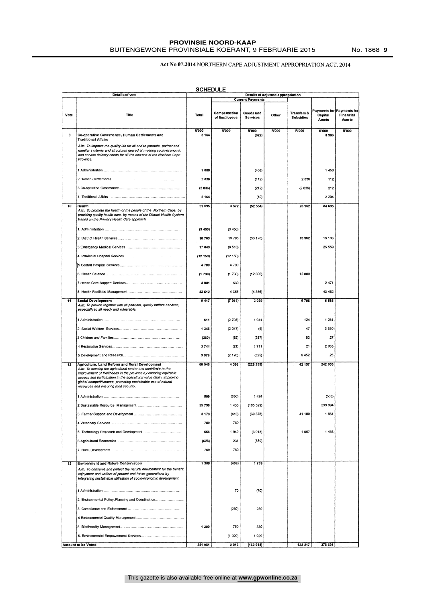### **PROVINSIE NOORD-KAAP**

#### Act No 07.2014 NORTHERN CAPE ADJUSTMENT APPROPRIATION ACT, 2014

|      | Details of vote                                                                                                                                                                                                                                                                                                                                                     | <b>SCHEDULE</b> |                              |                              | Details of adjusted appropriation |                                            |                   |                                                  |
|------|---------------------------------------------------------------------------------------------------------------------------------------------------------------------------------------------------------------------------------------------------------------------------------------------------------------------------------------------------------------------|-----------------|------------------------------|------------------------------|-----------------------------------|--------------------------------------------|-------------------|--------------------------------------------------|
|      |                                                                                                                                                                                                                                                                                                                                                                     |                 |                              | <b>Current Payments</b>      |                                   |                                            |                   |                                                  |
| Vote | Title                                                                                                                                                                                                                                                                                                                                                               | Total           | Compensation<br>of Employees | Goods and<br><b>Services</b> | Other                             | <b>Transfers &amp;</b><br><b>Subsidies</b> | Capital<br>Assets | Payments for Payments for<br>Financial<br>Assets |
|      |                                                                                                                                                                                                                                                                                                                                                                     | R'000           | R'000                        | R'000                        | R'000                             | R'000                                      | R'000             | R'000                                            |
| 9    | Co-operative Governance, Human Settlements and<br><b>Traditional Affairs</b>                                                                                                                                                                                                                                                                                        | 3 1 6 4         |                              | (822)                        |                                   |                                            | 3986              |                                                  |
|      | Aim: To improve the quality life for all and to promote, partner and<br>monitor systems and structures geared at meeting socio-economic<br>and service delivery needs, for all the citizens of the Northern Cape<br>Province.                                                                                                                                       |                 |                              |                              |                                   |                                            |                   |                                                  |
|      |                                                                                                                                                                                                                                                                                                                                                                     | 1 000           |                              | (458)                        |                                   |                                            | 1458              |                                                  |
|      |                                                                                                                                                                                                                                                                                                                                                                     | 2836            |                              | (112)                        |                                   | 2836                                       | 112               |                                                  |
|      |                                                                                                                                                                                                                                                                                                                                                                     | (2836)          |                              | (212)                        |                                   | (2836)                                     | 212               |                                                  |
|      |                                                                                                                                                                                                                                                                                                                                                                     | 2 1 6 4         |                              | (40)                         |                                   |                                            | 2 2 0 4           |                                                  |
| 10   | Health                                                                                                                                                                                                                                                                                                                                                              | 61 695          | 3 5 7 2                      | (52534)                      |                                   | 25 962                                     | 84 695            |                                                  |
|      | Aim: To promote the health of the people of the Northern Cape, by<br>providing quality health care, by means of the District Health System<br>based on the Primary Health Care approach.                                                                                                                                                                            |                 |                              |                              |                                   |                                            |                   |                                                  |
|      |                                                                                                                                                                                                                                                                                                                                                                     | (3450)          | (3450)                       |                              |                                   |                                            |                   |                                                  |
|      |                                                                                                                                                                                                                                                                                                                                                                     | 10763           | 19 796                       | (36 178)                     |                                   | 13 962                                     | 13 183            |                                                  |
|      |                                                                                                                                                                                                                                                                                                                                                                     | 17 049          | (8510)                       |                              |                                   |                                            | 25 559            |                                                  |
|      |                                                                                                                                                                                                                                                                                                                                                                     | (12150)         | (12 150)                     |                              |                                   |                                            |                   |                                                  |
|      |                                                                                                                                                                                                                                                                                                                                                                     | 4700            | 4 700                        |                              |                                   |                                            |                   |                                                  |
|      |                                                                                                                                                                                                                                                                                                                                                                     | (1730)          | (1730)                       | (12000)                      |                                   | 12 000                                     |                   |                                                  |
|      |                                                                                                                                                                                                                                                                                                                                                                     | 3 001           | 530                          |                              |                                   |                                            | 2471              |                                                  |
|      |                                                                                                                                                                                                                                                                                                                                                                     | 43 512          | 4 3 8 6                      | (4356)                       |                                   |                                            | 43 482            |                                                  |
| 11   | <b>Social Development</b><br>Aim: To provide together with all partners, quality welfare services,<br>especially to all needy and vulnerable.                                                                                                                                                                                                                       | 9 4 1 7         | (7014)                       | 3 0 3 9                      |                                   | 6706                                       | 6 6 8 6           |                                                  |
|      |                                                                                                                                                                                                                                                                                                                                                                     | 611             | (2708)                       | 1944                         |                                   | 124                                        | 1 251             |                                                  |
|      |                                                                                                                                                                                                                                                                                                                                                                     | 1 3 4 6         | (2047)                       | (4)                          |                                   | 47                                         | 3 3 5 0           |                                                  |
|      |                                                                                                                                                                                                                                                                                                                                                                     | (260)           | (62)                         | (287)                        |                                   | 62                                         | 27                |                                                  |
|      |                                                                                                                                                                                                                                                                                                                                                                     |                 | (21)                         | 1711                         |                                   | 21                                         | 2033              |                                                  |
|      |                                                                                                                                                                                                                                                                                                                                                                     | 3744            |                              |                              |                                   | 6452                                       | 25                |                                                  |
|      |                                                                                                                                                                                                                                                                                                                                                                     | 3976            | (2176)                       | (325)                        |                                   |                                            |                   |                                                  |
| 12   | Agriculture, Land Reform and Rural Development<br>Aim: To develop the agricultural sector and contribute to the<br>improvement of livelihoods in the province by ensuring equitable<br>access and participation in the agricultural value chain, improving<br>global competitiveness, promoting sustainable use of natural<br>resources and ensuring food security. | 60 948          | 4 3 9 3                      | (228 255)                    |                                   | 42 157                                     | 242 653           |                                                  |
|      |                                                                                                                                                                                                                                                                                                                                                                     | 509             | (350)                        | 1424                         |                                   |                                            | (565)             |                                                  |
|      |                                                                                                                                                                                                                                                                                                                                                                     | 55 798          | 1433                         | (185 529)                    |                                   |                                            | 239 894           |                                                  |
|      |                                                                                                                                                                                                                                                                                                                                                                     | 3 173           | (410)                        | (39378)                      |                                   | 41 100                                     | 1861              |                                                  |
|      |                                                                                                                                                                                                                                                                                                                                                                     | 780             | 780                          |                              |                                   |                                            |                   |                                                  |
|      |                                                                                                                                                                                                                                                                                                                                                                     | 556             | 1949                         | (3913)                       |                                   | 1057                                       | 1463              |                                                  |
|      |                                                                                                                                                                                                                                                                                                                                                                     | (628)           | 231                          | (859)                        |                                   |                                            |                   |                                                  |
|      |                                                                                                                                                                                                                                                                                                                                                                     | 760             | 760                          |                              |                                   |                                            |                   |                                                  |
|      |                                                                                                                                                                                                                                                                                                                                                                     |                 |                              |                              |                                   |                                            |                   |                                                  |
| 13   | <b>Environment and Nature Conservation</b>                                                                                                                                                                                                                                                                                                                          | 1 300           | (459)                        | 1759                         |                                   |                                            |                   |                                                  |
|      | Aim: To conserve and protect the natural environment for the benefit,<br>enjoyment and welfare of present and future generations by<br>integrating sustainable utilisation of socio-economic development.                                                                                                                                                           |                 |                              |                              |                                   |                                            |                   |                                                  |
|      |                                                                                                                                                                                                                                                                                                                                                                     |                 | 70                           | (70)                         |                                   |                                            |                   |                                                  |
|      | 2. Environmental Policy, Planning and Coordination                                                                                                                                                                                                                                                                                                                  |                 |                              |                              |                                   |                                            |                   |                                                  |
|      |                                                                                                                                                                                                                                                                                                                                                                     |                 | (250)                        | 250                          |                                   |                                            |                   |                                                  |
|      |                                                                                                                                                                                                                                                                                                                                                                     |                 |                              |                              |                                   |                                            |                   |                                                  |
|      |                                                                                                                                                                                                                                                                                                                                                                     | 1 3 0 0         | 750                          | 550                          |                                   |                                            |                   |                                                  |
|      |                                                                                                                                                                                                                                                                                                                                                                     |                 | (1029)                       | 1 0 2 9                      |                                   |                                            |                   |                                                  |
|      | Amount to be Voted                                                                                                                                                                                                                                                                                                                                                  | 341 981         | 2013                         | (160914)                     |                                   | 122 217                                    | 378 694           |                                                  |
|      |                                                                                                                                                                                                                                                                                                                                                                     |                 |                              |                              |                                   |                                            |                   |                                                  |